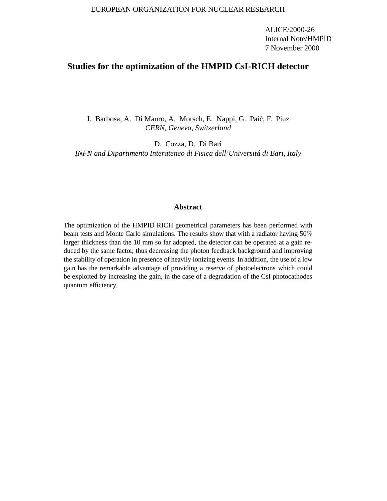#### EUROPEAN ORGANIZATION FOR NUCLEAR RESEARCH

ALICE/2000-26 Internal Note/HMPID 7 November 2000

# **Studies for the optimization of the HMPID CsI-RICH detector**

J. Barbosa, A. Di Mauro, A. Morsch, E. Nappi, G. Paić, F. Piuz *CERN, Geneva, Switzerland*

D. Cozza, D. Di Bari *INFN and Dipartimento Interateneo di Fisica dell'Universita di Bari, Italy ´*

#### **Abstract**

The optimization of the HMPID RICH geometrical parameters has been performed with beam tests and Monte Carlo simulations. The results show that with a radiator having 50% larger thickness than the 10 mm so far adopted, the detector can be operated at a gain reduced by the same factor, thus decreasing the photon feedback background and improving the stability of operation in presence of heavily ionizing events. In addition, the use of a low gain has the remarkable advantage of providing a reserve of photoelectrons which could be exploited by increasing the gain, in the case of a degradation of the CsI photocathodes quantum efficiency.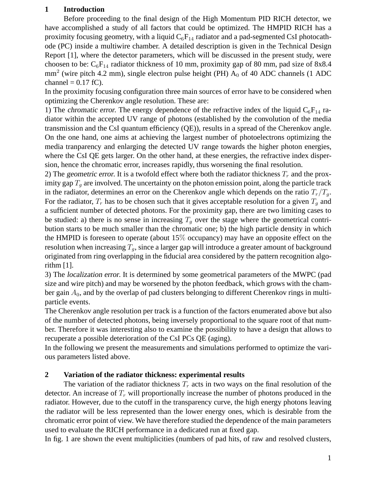## **1 Introduction**

Before proceeding to the final design of the High Momentum PID RICH detector, we have accomplished a study of all factors that could be optimized. The HMPID RICH has a proximity focusing geometry, with a liquid  $C_6F_{14}$  radiator and a pad-segmented CsI photocathode (PC) inside a multiwire chamber. A detailed description is given in the Technical Design Report [1], where the detector parameters, which will be discussed in the present study, were choosen to be:  $C_6F_{14}$  radiator thickness of 10 mm, proximity gap of 80 mm, pad size of 8x8.4  $mm<sup>2</sup>$  (wire pitch 4.2 mm), single electron pulse height (PH)  $A_0$  of 40 ADC channels (1 ADC channel =  $0.17$  fC).

In the proximity focusing configuration three main sources of error have to be considered when optimizing the Cherenkov angle resolution. These are:

1) The chromatic error. The energy dependence of the refractive index of the liquid  $C_6F_{14}$  radiator within the accepted UV range of photons (established by the convolution of the media transmission and the CsI quantum efficiency (QE)), results in a spread of the Cherenkov angle. On the one hand, one aims at achieving the largest number of photoelectrons optimizing the media tranparency and enlarging the detected UV range towards the higher photon energies, where the CsI QE gets larger. On the other hand, at these energies, the refractive index dispersion, hence the chromatic error, increases rapidly, thus worsening the final resolution.

2) The geometric error. It is a twofold effect where both the radiator thickness  $T_r$  and the proximity gap  $T_g$  are involved. The uncertainty on the photon emission point, along the particle track in the radiator, determines an error on the Cherenkov angle which depends on the ratio  $T_r/T_q$ . For the radiator,  $T_r$  has to be chosen such that it gives acceptable resolution for a given  $T_q$  and a sufficient number of detected photons. For the proximity gap, there are two limiting cases to be studied: a) there is no sense in increasing  $T<sub>g</sub>$  over the stage where the geometrical contribution starts to be much smaller than the chromatic one; b) the high particle density in which the HMPID is foreseen to operate (about  $15\%$  occupancy) may have an opposite effect on the resolution when increasing  $T_q$ , since a larger gap will introduce a greater amount of background originated from ring overlapping in the fiducial area considered by the pattern recognition algorithm [1].

3) The localization error. It is determined by some geometrical parameters of the MWPC (pad size and wire pitch) and may be worsened by the photon feedback, which grows with the chamber gain  $A_0$ , and by the overlap of pad clusters belonging to different Cherenkov rings in multiparticle events.

The Cherenkov angle resolution per track is a function of the factors enumerated above but also of the number of detected photons, being inversely proportional to the square root of that number. Therefore it was interesting also to examine the possibility to have a design that allows to recuperate a possible deterioration of the CsI PCs QE (aging).

In the following we present the measurements and simulations performed to optimize the various parameters listed above.

## **2 Variation of the radiator thickness: experimental results**

The variation of the radiator thickness  $T_r$  acts in two ways on the final resolution of the detector. An increase of  $T_r$  will proportionally increase the number of photons produced in the radiator. However, due to the cutoff in the transparency curve, the high energy photons leaving the radiator will be less represented than the lower energy ones, which is desirable from the chromatic error point of view. We have therefore studied the dependence of the main parameters used to evaluate the RICH performance in a dedicated run at fixed gap.

In fig. 1 are shown the event multiplicities (numbers of pad hits, of raw and resolved clusters,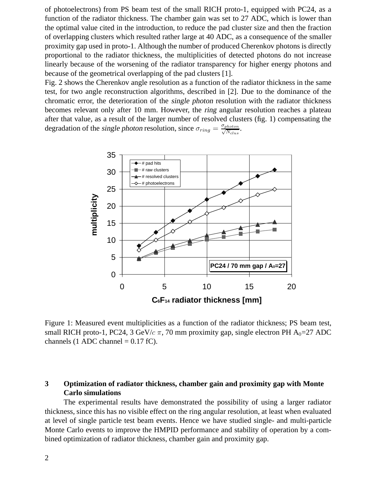of photoelectrons) from PS beam test of the small RICH proto-1, equipped with PC24, as a function of the radiator thickness. The chamber gain was set to 27 ADC, which is lower than the optimal value cited in the introduction, to reduce the pad cluster size and then the fraction of overlapping clusters which resulted rather large at 40 ADC, as a consequence of the smaller proximity gap used in proto-1. Although the number of produced Cherenkov photons is directly proportional to the radiator thickness, the multiplicities of detected photons do not increase linearly because of the worsening of the radiator transparency for higher energy photons and because of the geometrical overlapping of the pad clusters [1].

Fig. 2 shows the Cherenkov angle resolution as a function of the radiator thickness in the same test, for two angle reconstruction algorithms, described in [2]. Due to the dominance of the chromatic error, the deterioration of the single photon resolution with the radiator thickness becomes relevant only after 10 mm. However, the ring angular resolution reaches a plateau after that value, as a result of the larger number of resolved clusters (fig. 1) compensating the degradation of the single photon resolution, since  $\sigma_{ring} = \frac{\sigma_{photon}}{\sqrt{N_{clus}}}$ .



Figure 1: Measured event multiplicities as a function of the radiator thickness; PS beam test, small RICH proto-1, PC24, 3 GeV/c  $\pi$ , 70 mm proximity gap, single electron PH A<sub>0</sub>=27 ADC channels (1 ADC channel =  $0.17$  fC).

# **3 Optimization of radiator thickness, chamber gain and proximity gap with Monte Carlo simulations**

The experimental results have demonstrated the possibility of using a larger radiator thickness, since this has no visible effect on the ring angular resolution, at least when evaluated at level of single particle test beam events. Hence we have studied single- and multi-particle Monte Carlo events to improve the HMPID performance and stability of operation by a combined optimization of radiator thickness, chamber gain and proximity gap.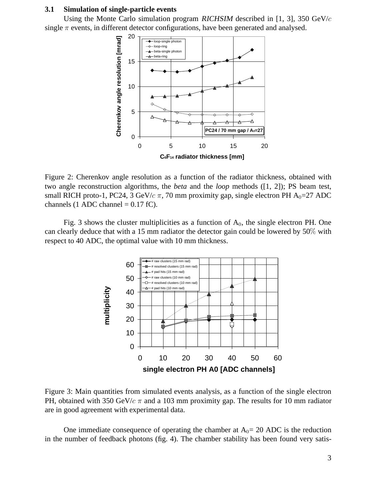#### **3.1 Simulation of single-particle events**

Using the Monte Carlo simulation program RICHSIM described in [1, 3], 350 GeV/c single  $\pi$  events, in different detector configurations, have been generated and analysed.



Figure 2: Cherenkov angle resolution as a function of the radiator thickness, obtained with two angle reconstruction algorithms, the *beta* and the *loop* methods ([1, 2]); PS beam test, small RICH proto-1, PC24, 3 GeV/c  $\pi$ , 70 mm proximity gap, single electron PH A<sub>0</sub>=27 ADC channels (1 ADC channel =  $0.17$  fC).

Fig. 3 shows the cluster multiplicities as a function of  $A_0$ , the single electron PH. One can clearly deduce that with a 15 mm radiator the detector gain could be lowered by 50% with respect to 40 ADC, the optimal value with 10 mm thickness.



Figure 3: Main quantities from simulated events analysis, as a function of the single electron PH, obtained with 350 GeV/ $c \pi$  and a 103 mm proximity gap. The results for 10 mm radiator are in good agreement with experimental data.

One immediate consequence of operating the chamber at  $A_0 = 20$  ADC is the reduction in the number of feedback photons (fig. 4). The chamber stability has been found very satis-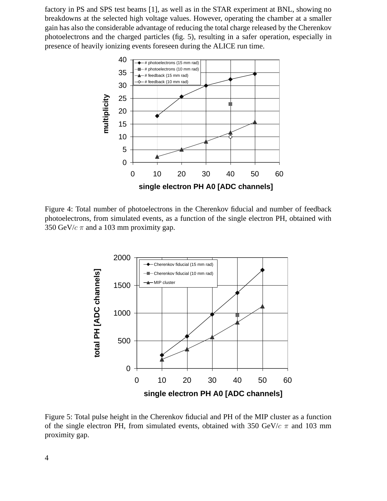factory in PS and SPS test beams [1], as well as in the STAR experiment at BNL, showing no breakdowns at the selected high voltage values. However, operating the chamber at a smaller gain has also the considerable advantage of reducing the total charge released by the Cherenkov photoelectrons and the charged particles (fig. 5), resulting in a safer operation, especially in presence of heavily ionizing events foreseen during the ALICE run time.



Figure 4: Total number of photoelectrons in the Cherenkov fiducial and number of feedback photoelectrons, from simulated events, as a function of the single electron PH, obtained with 350 GeV/ $c \pi$  and a 103 mm proximity gap.



Figure 5: Total pulse height in the Cherenkov fiducial and PH of the MIP cluster as a function of the single electron PH, from simulated events, obtained with 350 GeV/ $c \pi$  and 103 mm proximity gap.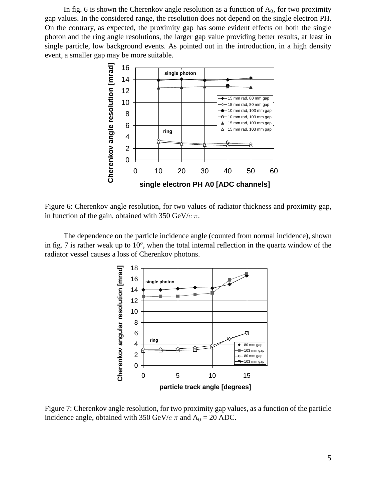In fig. 6 is shown the Cherenkov angle resolution as a function of  $A_0$ , for two proximity gap values. In the considered range, the resolution does not depend on the single electron PH. On the contrary, as expected, the proximity gap has some evident effects on both the single photon and the ring angle resolutions, the larger gap value providing better results, at least in single particle, low background events. As pointed out in the introduction, in a high density event, a smaller gap may be more suitable.



Figure 6: Cherenkov angle resolution, for two values of radiator thickness and proximity gap, in function of the gain, obtained with 350 GeV/ $c \pi$ .

The dependence on the particle incidence angle (counted from normal incidence), shown in fig. 7 is rather weak up to  $10^{\circ}$ , when the total internal reflection in the quartz window of the radiator vessel causes a loss of Cherenkov photons.



Figure 7: Cherenkov angle resolution, for two proximity gap values, as a function of the particle incidence angle, obtained with 350 GeV/ $c \pi$  and A<sub>0</sub> = 20 ADC.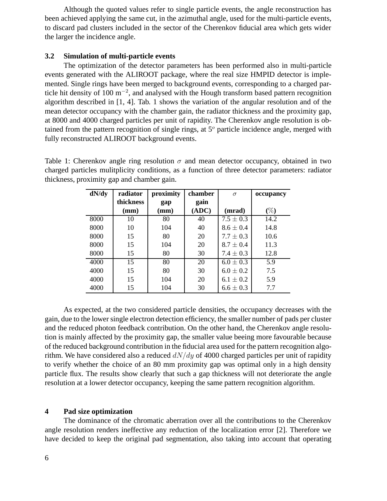Although the quoted values refer to single particle events, the angle reconstruction has been achieved applying the same cut, in the azimuthal angle, used for the multi-particle events, to discard pad clusters included in the sector of the Cherenkov fiducial area which gets wider the larger the incidence angle.

### **3.2 Simulation of multi-particle events**

The optimization of the detector parameters has been performed also in multi-particle events generated with the ALIROOT package, where the real size HMPID detector is implemented. Single rings have been merged to background events, corresponding to a charged particle hit density of 100  $\text{m}^{-2}$ , and analysed with the Hough transform based pattern recognition algorithm described in [1, 4]. Tab. 1 shows the variation of the angular resolution and of the mean detector occupancy with the chamber gain, the radiator thickness and the proximity gap, at 8000 and 4000 charged particles per unit of rapidity. The Cherenkov angle resolution is obtained from the pattern recognition of single rings, at  $5^\circ$  particle incidence angle, merged with fully reconstructed ALIROOT background events.

Table 1: Cherenkov angle ring resolution  $\sigma$  and mean detector occupancy, obtained in two charged particles mulitplicity conditions, as a function of three detector parameters: radiator thickness, proximity gap and chamber gain.

| dN/dy | radiator  | proximity | chamber | $\sigma$      | occupancy |
|-------|-----------|-----------|---------|---------------|-----------|
|       | thickness | gap       | gain    |               |           |
|       | (mm)      | (mm)      | (ADC)   | (mrad)        | $(\%)$    |
| 8000  | 10        | 80        | 40      | $7.5 \pm 0.3$ | 14.2      |
| 8000  | 10        | 104       | 40      | $8.6 \pm 0.4$ | 14.8      |
| 8000  | 15        | 80        | 20      | $7.7 \pm 0.3$ | 10.6      |
| 8000  | 15        | 104       | 20      | $8.7 \pm 0.4$ | 11.3      |
| 8000  | 15        | 80        | 30      | $7.4 \pm 0.3$ | 12.8      |
| 4000  | 15        | 80        | 20      | $6.0 \pm 0.3$ | 5.9       |
| 4000  | 15        | 80        | 30      | $6.0 \pm 0.2$ | 7.5       |
| 4000  | 15        | 104       | 20      | $6.1 \pm 0.2$ | 5.9       |
| 4000  | 15        | 104       | 30      | $6.6 \pm 0.3$ | 7.7       |

As expected, at the two considered particle densities, the occupancy decreases with the gain, due to the lower single electron detection efficiency, the smaller number of pads per cluster and the reduced photon feedback contribution. On the other hand, the Cherenkov angle resolution is mainly affected by the proximity gap, the smaller value beeing more favourable because of the reduced background contribution in the fiducial area used for the pattern recognition algorithm. We have considered also a reduced  $dN/dy$  of 4000 charged particles per unit of rapidity to verify whether the choice of an 80 mm proximity gap was optimal only in a high density particle flux. The results show clearly that such a gap thickness will not deteriorate the angle resolution at a lower detector occupancy, keeping the same pattern recognition algorithm.

### **4 Pad size optimization**

The dominance of the chromatic aberration over all the contributions to the Cherenkov angle resolution renders ineffective any reduction of the localization error [2]. Therefore we have decided to keep the original pad segmentation, also taking into account that operating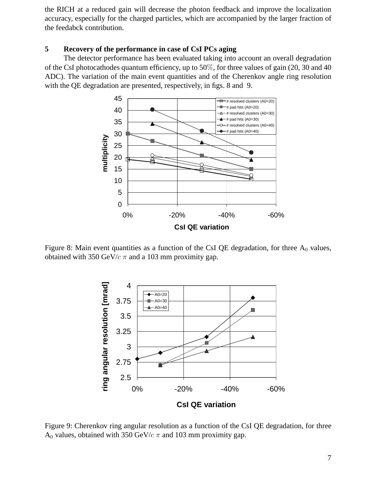the RICH at a reduced gain will decrease the photon feedback and improve the localization accuracy, especially for the charged particles, which are accompanied by the larger fraction of the feedabck contribution.

### **5 Recovery of the performance in case of CsI PCs aging**

The detector performance has been evaluated taking into account an overall degradation of the CsI photocathodes quantum efficiency, up to 50%, for three values of gain (20, 30 and 40 ADC). The variation of the main event quantities and of the Cherenkov angle ring resolution with the QE degradation are presented, respectively, in figs. 8 and 9.



Figure 8: Main event quantities as a function of the CsI QE degradation, for three  $A_0$  values, obtained with 350 GeV/ $c \pi$  and a 103 mm proximity gap.



Figure 9: Cherenkov ring angular resolution as a function of the CsI QE degradation, for three A<sub>0</sub> values, obtained with 350 GeV/ $c \pi$  and 103 mm proximity gap.